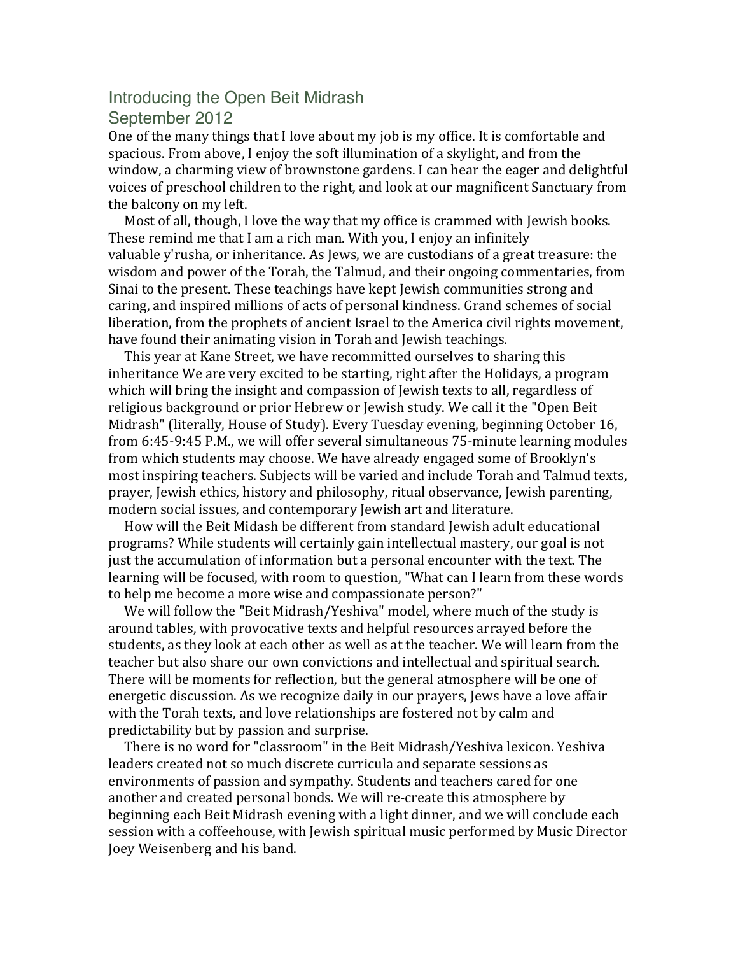## Introducing the Open Beit Midrash September 2012

One of the many things that I love about my job is my office. It is comfortable and spacious. From above, I enjoy the soft illumination of a skylight, and from the window, a charming view of brownstone gardens. I can hear the eager and delightful voices of preschool children to the right, and look at our magnificent Sanctuary from the balcony on my left.

Most of all, though, I love the way that my office is crammed with Jewish books. These remind me that I am a rich man. With you, I enjoy an infinitely valuable y'rusha, or inheritance. As Jews, we are custodians of a great treasure: the wisdom and power of the Torah, the Talmud, and their ongoing commentaries, from Sinai to the present. These teachings have kept lewish communities strong and caring, and inspired millions of acts of personal kindness. Grand schemes of social liberation, from the prophets of ancient Israel to the America civil rights movement, have found their animating vision in Torah and Jewish teachings.

This year at Kane Street, we have recommitted ourselves to sharing this inheritance We are very excited to be starting, right after the Holidays, a program which will bring the insight and compassion of Jewish texts to all, regardless of religious background or prior Hebrew or Jewish study. We call it the "Open Beit Midrash" (literally, House of Study). Every Tuesday evening, beginning October 16, from 6:45-9:45 P.M., we will offer several simultaneous 75-minute learning modules from which students may choose. We have already engaged some of Brooklyn's most inspiring teachers. Subjects will be varied and include Torah and Talmud texts, prayer, Jewish ethics, history and philosophy, ritual observance, Jewish parenting, modern social issues, and contemporary Jewish art and literature.

How will the Beit Midash be different from standard Jewish adult educational programs? While students will certainly gain intellectual mastery, our goal is not just the accumulation of information but a personal encounter with the text. The learning will be focused, with room to question, "What can I learn from these words to help me become a more wise and compassionate person?"

We will follow the "Beit Midrash/Yeshiva" model, where much of the study is around tables, with provocative texts and helpful resources arrayed before the students, as they look at each other as well as at the teacher. We will learn from the teacher but also share our own convictions and intellectual and spiritual search. There will be moments for reflection, but the general atmosphere will be one of energetic discussion. As we recognize daily in our prayers, Jews have a love affair with the Torah texts, and love relationships are fostered not by calm and predictability but by passion and surprise.

There is no word for "classroom" in the Beit Midrash/Yeshiva lexicon. Yeshiva leaders created not so much discrete curricula and separate sessions as environments of passion and sympathy. Students and teachers cared for one another and created personal bonds. We will re-create this atmosphere by beginning each Beit Midrash evening with a light dinner, and we will conclude each session with a coffeehouse, with Jewish spiritual music performed by Music Director Joey Weisenberg and his band.